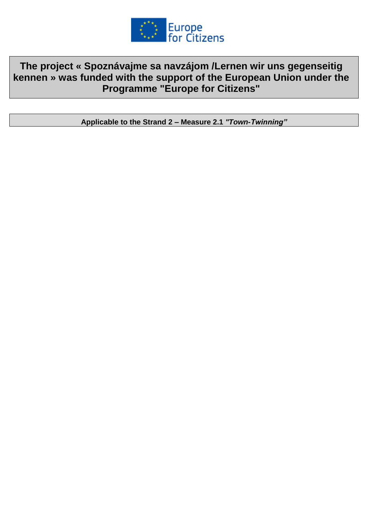

**The project « Spoznávajme sa navzájom /Lernen wir uns gegenseitig kennen » was funded with the support of the European Union under the Programme "Europe for Citizens"**

**Applicable to the Strand 2 – Measure 2.1** *"Town-Twinning"*